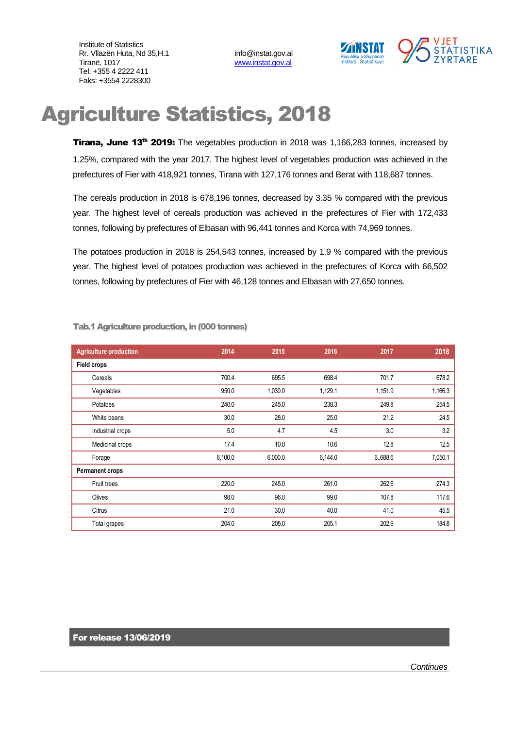Institute of Statistics Rr. Vllazën Huta, Nd 35, H.1 info@instat.gov.al Tiranë, 1017 [www.instat.gov.al](http://www.instat.gov.al/) Tel: +355 4 2222 411 Faks: +3554 2228300



## Agriculture Statistics, 2018

Tirana, June 13<sup>th</sup> 2019: The vegetables production in 2018 was 1,166,283 tonnes, increased by 1.25%, compared with the year 2017. The highest level of vegetables production was achieved in the prefectures of Fier with 418,921 tonnes, Tirana with 127,176 tonnes and Berat with 118,687 tonnes.

The cereals production in 2018 is 678,196 tonnes, decreased by 3.35 % compared with the previous year. The highest level of cereals production was achieved in the prefectures of Fier with 172,433 tonnes, following by prefectures of Elbasan with 96,441 tonnes and Korca with 74,969 tonnes.

The potatoes production in 2018 is 254,543 tonnes, increased by 1.9 % compared with the previous year. The highest level of potatoes production was achieved in the prefectures of Korca with 66,502 tonnes, following by prefectures of Fier with 46,128 tonnes and Elbasan with 27,650 tonnes.

| <b>Agriculture production</b> | 2014    | 2015    | 2016    | 2017    | 2018    |
|-------------------------------|---------|---------|---------|---------|---------|
| <b>Field crops</b>            |         |         |         |         |         |
| Cereals                       | 700.4   | 695.5   | 698.4   | 701.7   | 678.2   |
| Vegetables                    | 950.0   | 1,030.0 | 1,129.1 | 1,151.9 | 1,166.3 |
| Potatoes                      | 240.0   | 245.0   | 238.3   | 249.8   | 254.5   |
| White beans                   | 30.0    | 28.0    | 25.0    | 21.2    | 24.5    |
| Industrial crops              | 5.0     | 4.7     | 4.5     | 3.0     | 3.2     |
| Medicinal crops               | 17.4    | 10.8    | 10.6    | 12.8    | 12.5    |
| Forage                        | 6,100.0 | 6,000.0 | 6,144.0 | 6.688.6 | 7,050.1 |
| <b>Permanent crops</b>        |         |         |         |         |         |
| Fruit trees                   | 220.0   | 245.0   | 261.0   | 262.6   | 274.3   |
| Olives                        | 98.0    | 96.0    | 99.0    | 107.8   | 117.6   |
| Citrus                        | 21.0    | 30.0    | 40.0    | 41.0    | 45.5    |
| Total grapes                  | 204.0   | 205.0   | 205.1   | 202.9   | 184.8   |

Tab.1 Agriculture production, in (000 tonnes)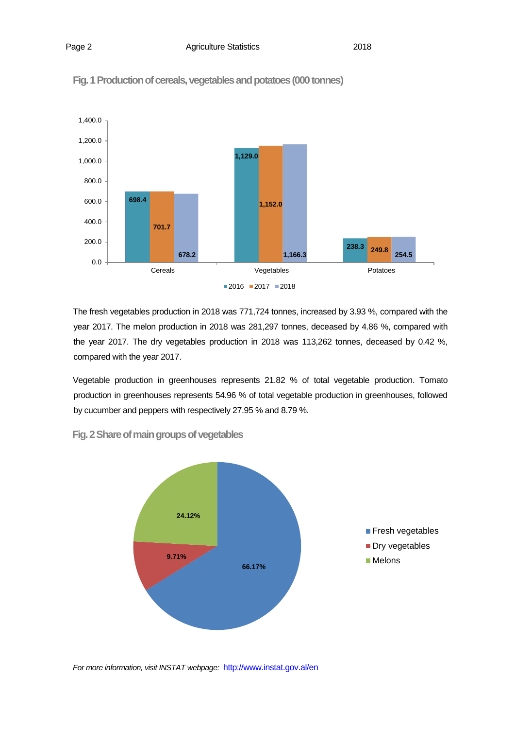

Fig. 1 Production of cereals, vegetables and potatoes (000 tonnes)

The fresh vegetables production in 2018 was 771,724 tonnes, increased by 3.93 %, compared with the year 2017. The melon production in 2018 was 281,297 tonnes, deceased by 4.86 %, compared with the year 2017. The dry vegetables production in 2018 was 113,262 tonnes, deceased by 0.42 %, compared with the year 2017.

Vegetable production in greenhouses represents 21.82 % of total vegetable production. Tomato production in greenhouses represents 54.96 % of total vegetable production in greenhouses, followed by cucumber and peppers with respectively 27.95 % and 8.79 %.



**Fig. 2 Share of main groups of vegetables** 

*For more information, visit INSTAT webpage:* http://www.instat.gov.al/en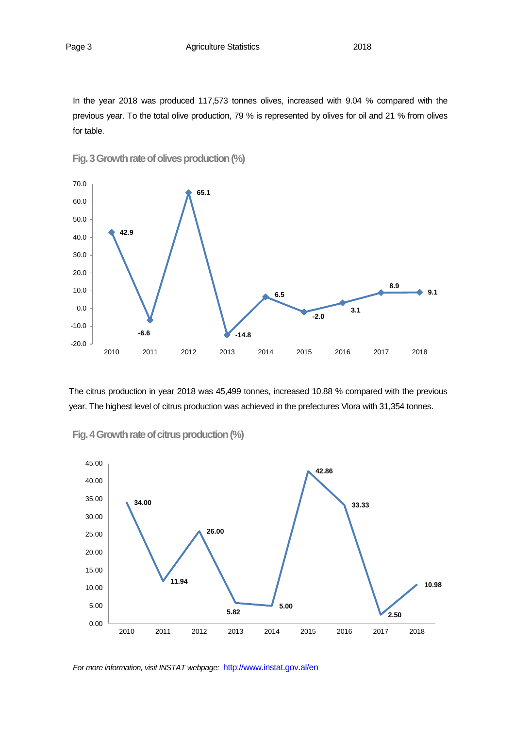In the year 2018 was produced 117,573 tonnes olives, increased with 9.04 % compared with the previous year. To the total olive production, 79 % is represented by olives for oil and 21 % from olives for table.



Fig. 3 Growth rate of olives production (%)

The citrus production in year 2018 was 45,499 tonnes, increased 10.88 % compared with the previous year. The highest level of citrus production was achieved in the prefectures Vlora with 31,354 tonnes.



**Fig. 4 Growth rate of citrus production(%)**

*For more information, visit INSTAT webpage:* http://www.instat.gov.al/en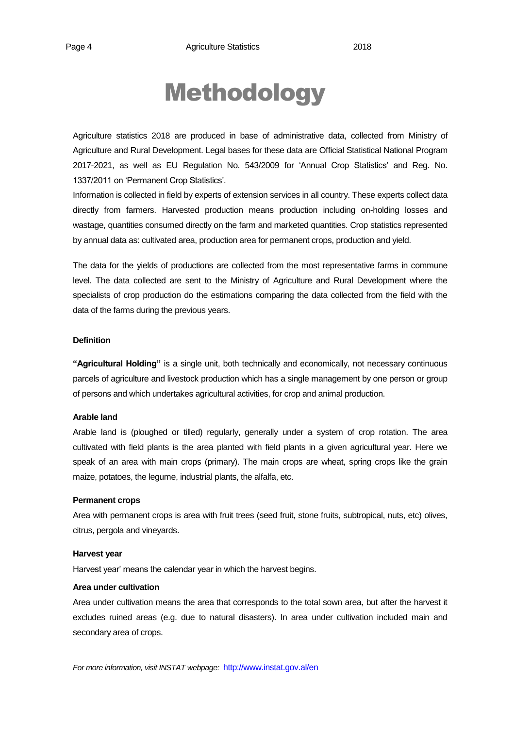# Methodology

Agriculture statistics 2018 are produced in base of administrative data, collected from Ministry of Agriculture and Rural Development. Legal bases for these data are Official Statistical National Program 2017-2021, as well as EU Regulation No. 543/2009 for 'Annual Crop Statistics' and Reg. No. 1337/2011 on 'Permanent Crop Statistics'.

Information is collected in field by experts of extension services in all country. These experts collect data directly from farmers. Harvested production means production including on-holding losses and wastage, quantities consumed directly on the farm and marketed quantities. Crop statistics represented by annual data as: cultivated area, production area for permanent crops, production and yield.

The data for the yields of productions are collected from the most representative farms in commune level. The data collected are sent to the Ministry of Agriculture and Rural Development where the specialists of crop production do the estimations comparing the data collected from the field with the data of the farms during the previous years.

#### **Definition**

**"Agricultural Holding"** is a single unit, both technically and economically, not necessary continuous parcels of agriculture and livestock production which has a single management by one person or group of persons and which undertakes agricultural activities, for crop and animal production.

## **Arable land**

Arable land is (ploughed or tilled) regularly, generally under a system of crop rotation. The area cultivated with field plants is the area planted with field plants in a given agricultural year. Here we speak of an area with main crops (primary). The main crops are wheat, spring crops like the grain maize, potatoes, the legume, industrial plants, the alfalfa, etc.

#### **Permanent crops**

Area with permanent crops is area with fruit trees (seed fruit, stone fruits, subtropical, nuts, etc) olives, citrus, pergola and vineyards.

#### **Harvest year**

Harvest year' means the calendar year in which the harvest begins.

#### **Area under cultivation**

Area under cultivation means the area that corresponds to the total sown area, but after the harvest it excludes ruined areas (e.g. due to natural disasters). In area under cultivation included main and secondary area of crops.

*For more information, visit INSTAT webpage:* http://www.instat.gov.al/en